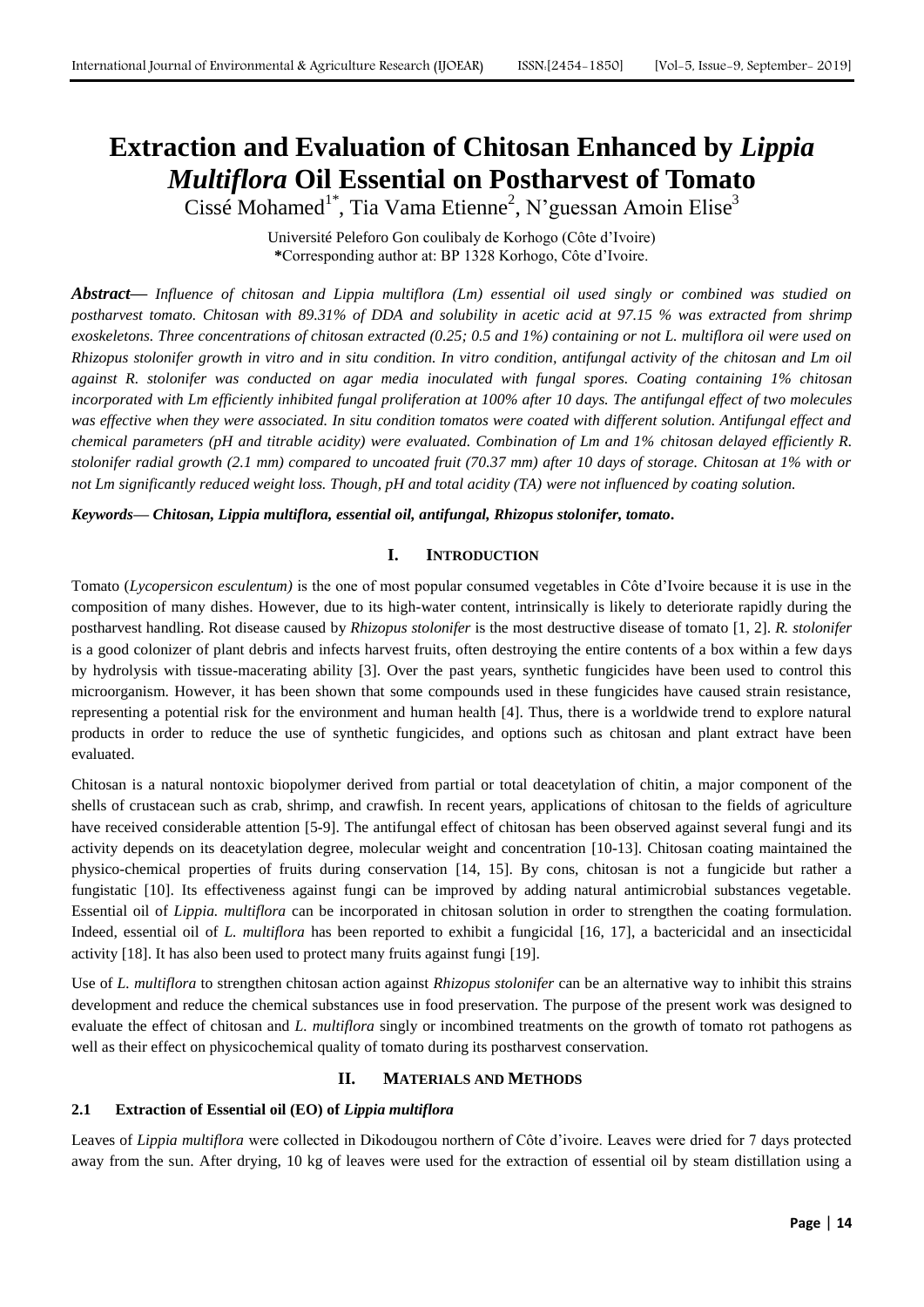# **Extraction and Evaluation of Chitosan Enhanced by** *Lippia Multiflora* **Oil Essential on Postharvest of Tomato**

Cissé Mohamed<sup>1\*</sup>, Tia Vama Etienne<sup>2</sup>, N'guessan Amoin Elise<sup>3</sup>

Université Peleforo Gon coulibaly de Korhogo (Côte d'Ivoire) **\***Corresponding author at: BP 1328 Korhogo, Côte d'Ivoire.

*Abstract***—** *Influence of chitosan and Lippia multiflora (Lm) essential oil used singly or combined was studied on postharvest tomato. Chitosan with 89.31% of DDA and solubility in acetic acid at 97.15 % was extracted from shrimp exoskeletons. Three concentrations of chitosan extracted (0.25; 0.5 and 1%) containing or not L. multiflora oil were used on Rhizopus stolonifer growth in vitro and in situ condition. In vitro condition, antifungal activity of the chitosan and Lm oil against R. stolonifer was conducted on agar media inoculated with fungal spores. Coating containing 1% chitosan incorporated with Lm efficiently inhibited fungal proliferation at 100% after 10 days. The antifungal effect of two molecules was effective when they were associated. In situ condition tomatos were coated with different solution. Antifungal effect and chemical parameters (pH and titrable acidity) were evaluated. Combination of Lm and 1% chitosan delayed efficiently R. stolonifer radial growth (2.1 mm) compared to uncoated fruit (70.37 mm) after 10 days of storage. Chitosan at 1% with or not Lm significantly reduced weight loss. Though, pH and total acidity (TA) were not influenced by coating solution.*

*Keywords— Chitosan, Lippia multiflora, essential oil, antifungal, Rhizopus stolonifer, tomato.*

# **I. INTRODUCTION**

Tomato (*Lycopersicon esculentum)* is the one of most popular consumed vegetables in Côte d'Ivoire because it is use in the composition of many dishes. However, due to its high-water content, intrinsically is likely to deteriorate rapidly during the postharvest handling. Rot disease caused by *Rhizopus stolonifer* is the most destructive disease of tomato [1, 2]. *R. stolonifer* is a good colonizer of plant debris and infects harvest fruits, often destroying the entire contents of a box within a few days by hydrolysis with tissue-macerating ability [3]. Over the past years, synthetic fungicides have been used to control this microorganism. However, it has been shown that some compounds used in these fungicides have caused strain resistance, representing a potential risk for the environment and human health [4]. Thus, there is a worldwide trend to explore natural products in order to reduce the use of synthetic fungicides, and options such as chitosan and plant extract have been evaluated.

Chitosan is a natural nontoxic biopolymer derived from partial or total deacetylation of chitin, a major component of the shells of crustacean such as crab, shrimp, and crawfish. In recent years, applications of chitosan to the fields of agriculture have received considerable attention [5-9]. The antifungal effect of chitosan has been observed against several fungi and its activity depends on its deacetylation degree, molecular weight and concentration [10-13]. Chitosan coating maintained the physico-chemical properties of fruits during conservation [14, 15]. By cons, chitosan is not a fungicide but rather a fungistatic [10]. Its effectiveness against fungi can be improved by adding natural antimicrobial substances vegetable. Essential oil of *Lippia. multiflora* can be incorporated in chitosan solution in order to strengthen the coating formulation. Indeed, essential oil of *L. multiflora* has been reported to exhibit a fungicidal [16, 17], a bactericidal and an insecticidal activity [18]. It has also been used to protect many fruits against fungi [19].

Use of *L. multiflora* to strengthen chitosan action against *Rhizopus stolonifer* can be an alternative way to inhibit this strains development and reduce the chemical substances use in food preservation. The purpose of the present work was designed to evaluate the effect of chitosan and *L. multiflora* singly or incombined treatments on the growth of tomato rot pathogens as well as their effect on physicochemical quality of tomato during its postharvest conservation.

# **II. MATERIALS AND METHODS**

# **2.1 Extraction of Essential oil (EO) of** *Lippia multiflora*

Leaves of *Lippia multiflora* were collected in Dikodougou northern of Côte d'ivoire. Leaves were dried for 7 days protected away from the sun. After drying, 10 kg of leaves were used for the extraction of essential oil by steam distillation using a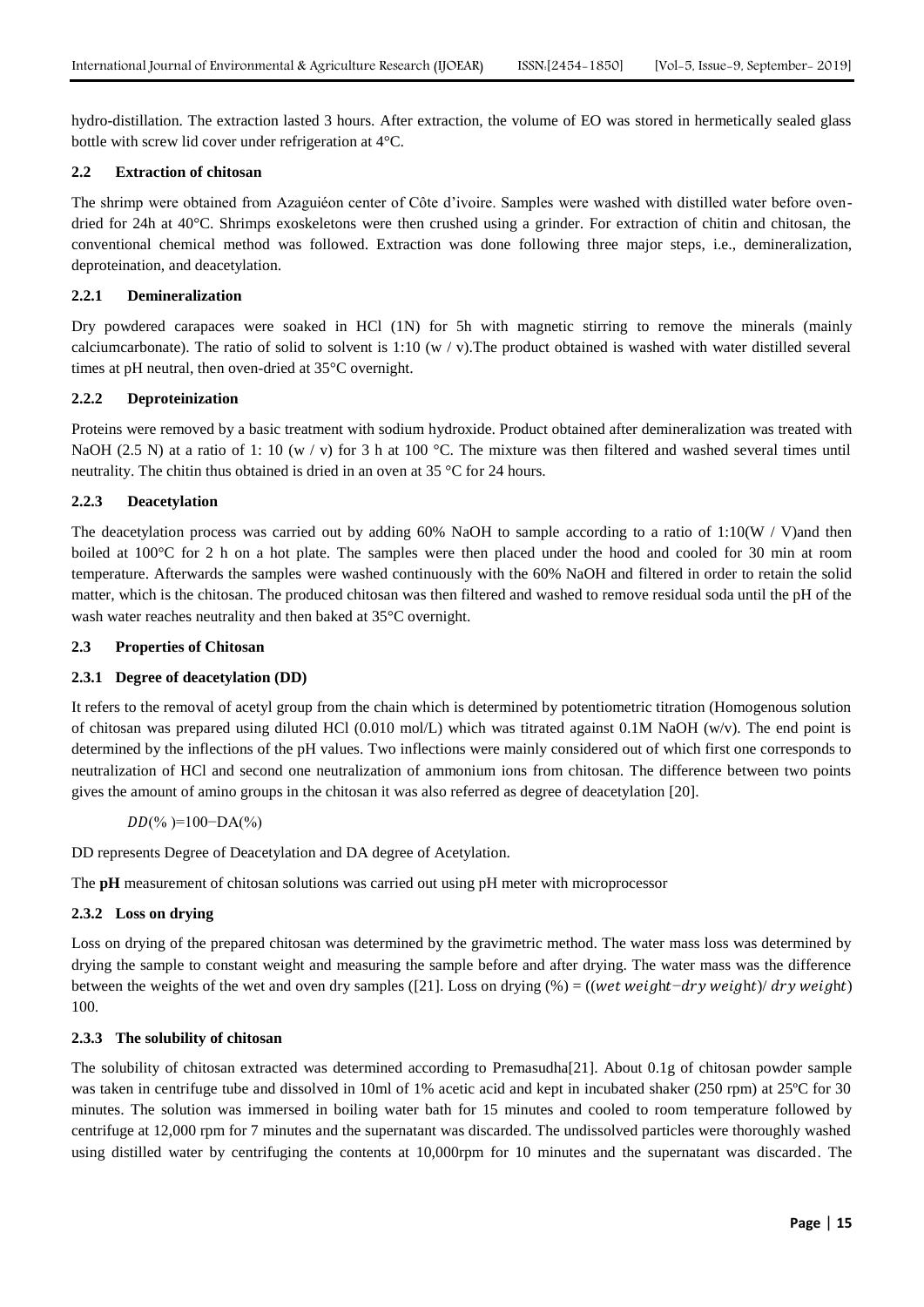hydro-distillation. The extraction lasted 3 hours. After extraction, the volume of EO was stored in hermetically sealed glass bottle with screw lid cover under refrigeration at 4°C.

# **2.2 Extraction of chitosan**

The shrimp were obtained from Azaguiéon center of Côte d'ivoire. Samples were washed with distilled water before ovendried for 24h at 40°C. Shrimps exoskeletons were then crushed using a grinder. For extraction of chitin and chitosan, the conventional chemical method was followed. Extraction was done following three major steps, i.e., demineralization, deproteination, and deacetylation.

# **2.2.1 Demineralization**

Dry powdered carapaces were soaked in HCl (1N) for 5h with magnetic stirring to remove the minerals (mainly calciumcarbonate). The ratio of solid to solvent is  $1:10 \ (w / v)$ . The product obtained is washed with water distilled several times at pH neutral, then oven-dried at 35°C overnight.

# **2.2.2 Deproteinization**

Proteins were removed by a basic treatment with sodium hydroxide. Product obtained after demineralization was treated with NaOH (2.5 N) at a ratio of 1: 10 (w / v) for 3 h at 100 °C. The mixture was then filtered and washed several times until neutrality. The chitin thus obtained is dried in an oven at 35 °C for 24 hours.

# **2.2.3 Deacetylation**

The deacetylation process was carried out by adding  $60\%$  NaOH to sample according to a ratio of 1:10(W / V)and then boiled at 100°C for 2 h on a hot plate. The samples were then placed under the hood and cooled for 30 min at room temperature. Afterwards the samples were washed continuously with the 60% NaOH and filtered in order to retain the solid matter, which is the chitosan. The produced chitosan was then filtered and washed to remove residual soda until the pH of the wash water reaches neutrality and then baked at 35°C overnight.

# **2.3 Properties of Chitosan**

# **2.3.1 Degree of deacetylation (DD)**

It refers to the removal of acetyl group from the chain which is determined by potentiometric titration (Homogenous solution of chitosan was prepared using diluted HCl (0.010 mol/L) which was titrated against 0.1M NaOH (w/v). The end point is determined by the inflections of the pH values. Two inflections were mainly considered out of which first one corresponds to neutralization of HCl and second one neutralization of ammonium ions from chitosan. The difference between two points gives the amount of amino groups in the chitosan it was also referred as degree of deacetylation [20].

# $DD(\% )=100-DA(\% )$

DD represents Degree of Deacetylation and DA degree of Acetylation.

The **pH** measurement of chitosan solutions was carried out using pH meter with microprocessor

# **2.3.2 Loss on drying**

Loss on drying of the prepared chitosan was determined by the gravimetric method. The water mass loss was determined by drying the sample to constant weight and measuring the sample before and after drying. The water mass was the difference between the weights of the wet and oven dry samples ([21]. Loss on drying  $%$ ) = ((wet weight-dry weight)/ dry weight) 100.

# **2.3.3 The solubility of chitosan**

The solubility of chitosan extracted was determined according to Premasudha[21]. About 0.1g of chitosan powder sample was taken in centrifuge tube and dissolved in 10ml of 1% acetic acid and kept in incubated shaker (250 rpm) at 25<sup>o</sup>C for 30 minutes. The solution was immersed in boiling water bath for 15 minutes and cooled to room temperature followed by centrifuge at 12,000 rpm for 7 minutes and the supernatant was discarded. The undissolved particles were thoroughly washed using distilled water by centrifuging the contents at 10,000rpm for 10 minutes and the supernatant was discarded. The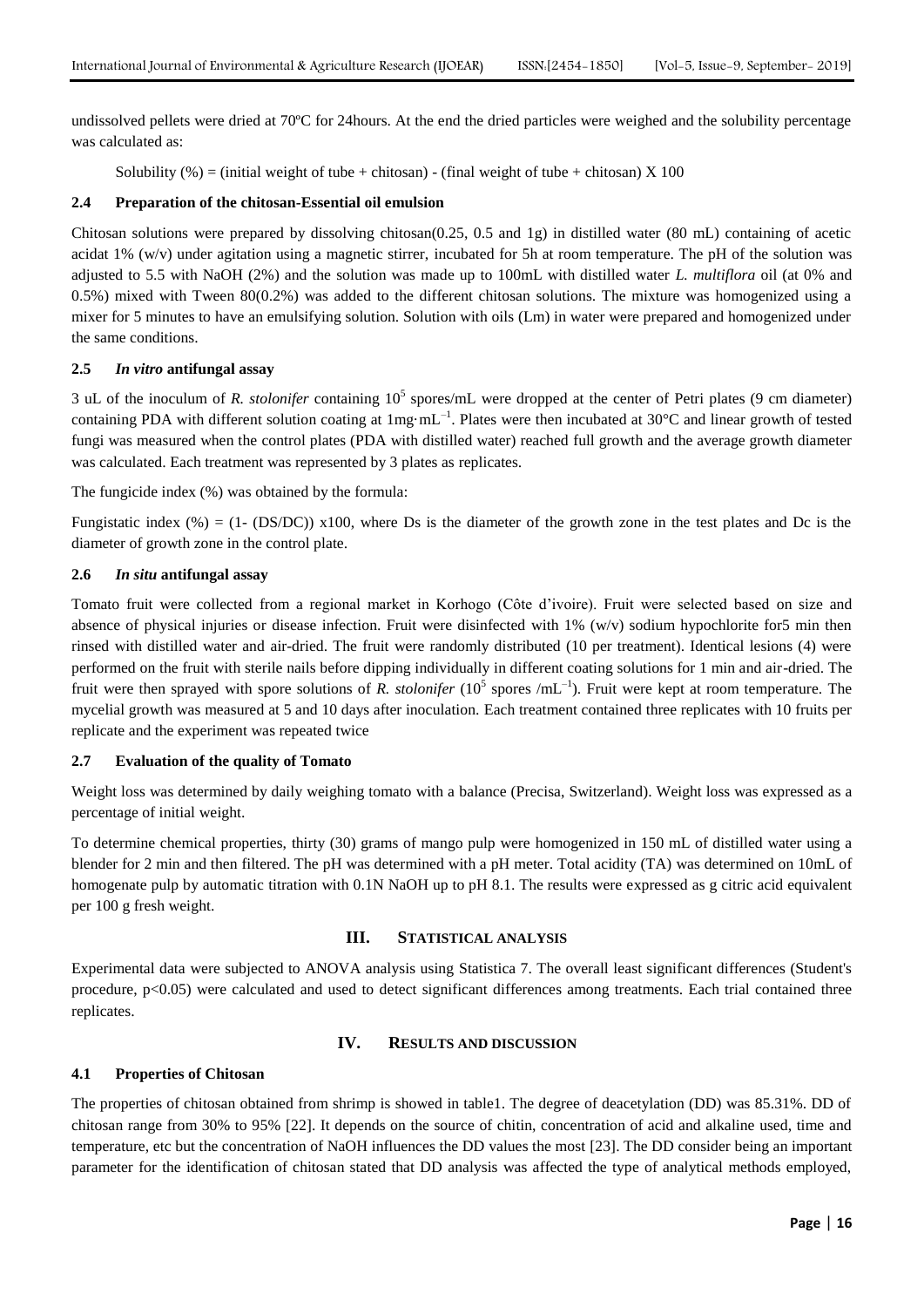undissolved pellets were dried at 70ºC for 24hours. At the end the dried particles were weighed and the solubility percentage was calculated as:

Solubility (%) = (initial weight of tube + chitosan) - (final weight of tube + chitosan) X 100

# **2.4 Preparation of the chitosan-Essential oil emulsion**

Chitosan solutions were prepared by dissolving chitosan(0.25, 0.5 and 1g) in distilled water (80 mL) containing of acetic acidat 1% (w/v) under agitation using a magnetic stirrer, incubated for 5h at room temperature. The pH of the solution was adjusted to 5.5 with NaOH (2%) and the solution was made up to 100mL with distilled water *L. multiflora* oil (at 0% and 0.5%) mixed with Tween 80(0.2%) was added to the different chitosan solutions. The mixture was homogenized using a mixer for 5 minutes to have an emulsifying solution. Solution with oils (Lm) in water were prepared and homogenized under the same conditions.

# **2.5** *In vitro* **antifungal assay**

3 uL of the inoculum of *R. stolonifer* containing  $10^5$  spores/mL were dropped at the center of Petri plates (9 cm diameter) containing PDA with different solution coating at  $1mg \cdot mL^{-1}$ . Plates were then incubated at 30°C and linear growth of tested fungi was measured when the control plates (PDA with distilled water) reached full growth and the average growth diameter was calculated. Each treatment was represented by 3 plates as replicates.

The fungicide index (%) was obtained by the formula:

Fungistatic index (%) = (1- (DS/DC)) x100, where Ds is the diameter of the growth zone in the test plates and Dc is the diameter of growth zone in the control plate.

# **2.6** *In situ* **antifungal assay**

Tomato fruit were collected from a regional market in Korhogo (Côte d'ivoire). Fruit were selected based on size and absence of physical injuries or disease infection. Fruit were disinfected with 1% (w/v) sodium hypochlorite for5 min then rinsed with distilled water and air-dried. The fruit were randomly distributed (10 per treatment). Identical lesions (4) were performed on the fruit with sterile nails before dipping individually in different coating solutions for 1 min and air-dried. The fruit were then sprayed with spore solutions of *R. stolonifer*  $(10^5 \text{ spores } / \text{mL}^{-1})$ . Fruit were kept at room temperature. The mycelial growth was measured at 5 and 10 days after inoculation. Each treatment contained three replicates with 10 fruits per replicate and the experiment was repeated twice

# **2.7 Evaluation of the quality of Tomato**

Weight loss was determined by daily weighing tomato with a balance (Precisa, Switzerland). Weight loss was expressed as a percentage of initial weight.

To determine chemical properties, thirty (30) grams of mango pulp were homogenized in 150 mL of distilled water using a blender for 2 min and then filtered. The pH was determined with a pH meter. Total acidity (TA) was determined on 10mL of homogenate pulp by automatic titration with 0.1N NaOH up to pH 8.1. The results were expressed as g citric acid equivalent per 100 g fresh weight.

# **III. STATISTICAL ANALYSIS**

Experimental data were subjected to ANOVA analysis using Statistica 7. The overall least significant differences (Student's procedure, p<0.05) were calculated and used to detect significant differences among treatments. Each trial contained three replicates.

# **IV. RESULTS AND DISCUSSION**

# **4.1 Properties of Chitosan**

The properties of chitosan obtained from shrimp is showed in table1. The degree of deacetylation (DD) was 85.31%. DD of chitosan range from 30% to 95% [22]. It depends on the source of chitin, concentration of acid and alkaline used, time and temperature, etc but the concentration of NaOH influences the DD values the most [23]. The DD consider being an important parameter for the identification of chitosan stated that DD analysis was affected the type of analytical methods employed,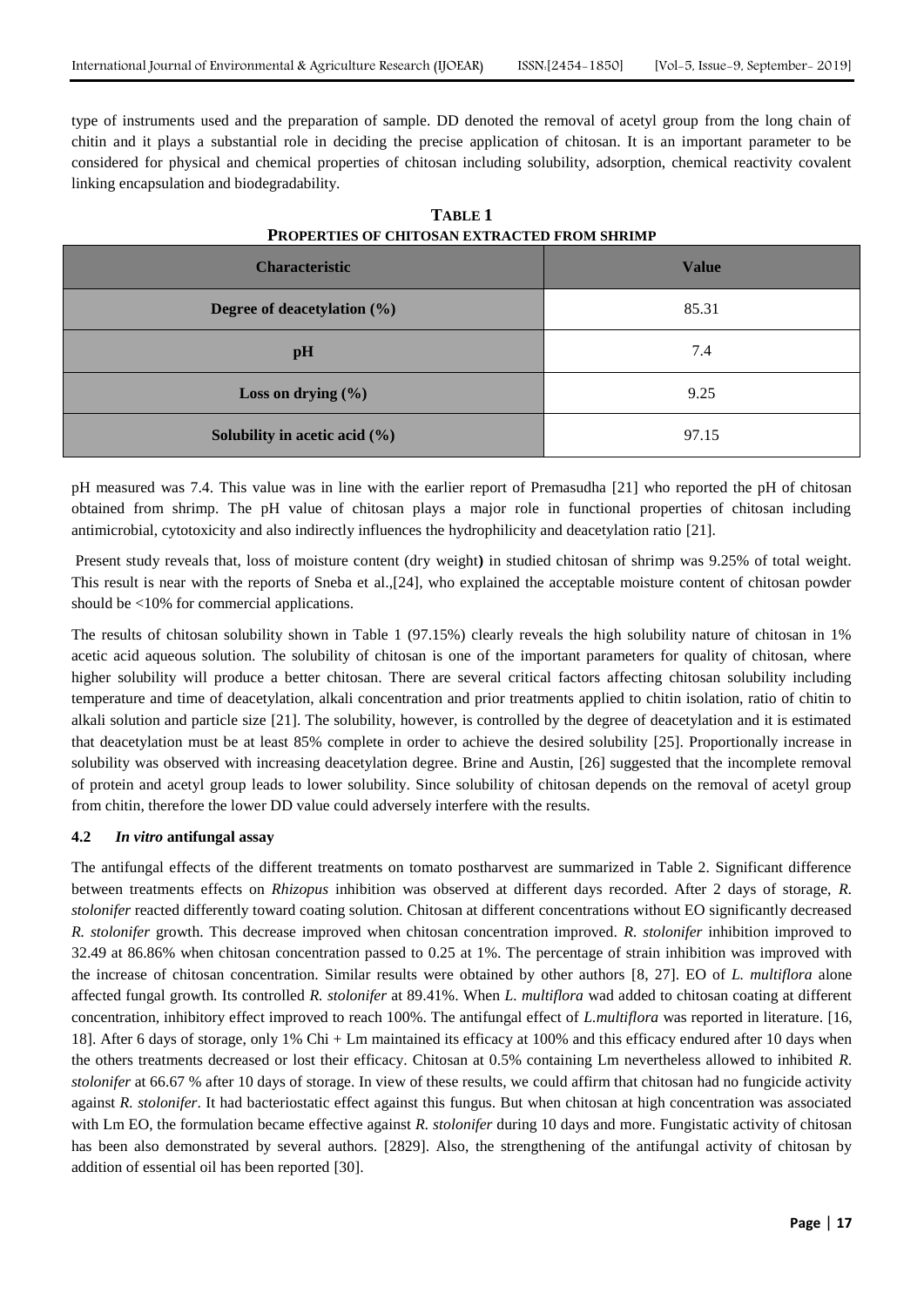type of instruments used and the preparation of sample. DD denoted the removal of acetyl group from the long chain of chitin and it plays a substantial role in deciding the precise application of chitosan. It is an important parameter to be considered for physical and chemical properties of chitosan including solubility, adsorption, chemical reactivity covalent linking encapsulation and biodegradability.

| <b>Characteristic</b>             | <b>Value</b> |
|-----------------------------------|--------------|
| Degree of deacetylation (%)       | 85.31        |
| pH                                | 7.4          |
| Loss on drying $(\% )$            | 9.25         |
| Solubility in acetic acid $(\% )$ | 97.15        |

**TABLE 1 PROPERTIES OF CHITOSAN EXTRACTED FROM SHRIMP**

pH measured was 7.4. This value was in line with the earlier report of Premasudha [21] who reported the pH of chitosan obtained from shrimp. The pH value of chitosan plays a major role in functional properties of chitosan including antimicrobial, cytotoxicity and also indirectly influences the hydrophilicity and deacetylation ratio [21].

Present study reveals that, loss of moisture content (dry weight**)** in studied chitosan of shrimp was 9.25% of total weight. This result is near with the reports of Sneba et al.,[24], who explained the acceptable moisture content of chitosan powder should be <10% for commercial applications.

The results of chitosan solubility shown in Table 1 (97.15%) clearly reveals the high solubility nature of chitosan in 1% acetic acid aqueous solution. The solubility of chitosan is one of the important parameters for quality of chitosan, where higher solubility will produce a better chitosan. There are several critical factors affecting chitosan solubility including temperature and time of deacetylation, alkali concentration and prior treatments applied to chitin isolation, ratio of chitin to alkali solution and particle size [21]. The solubility, however, is controlled by the degree of deacetylation and it is estimated that deacetylation must be at least 85% complete in order to achieve the desired solubility [25]. Proportionally increase in solubility was observed with increasing deacetylation degree. Brine and Austin, [26] suggested that the incomplete removal of protein and acetyl group leads to lower solubility. Since solubility of chitosan depends on the removal of acetyl group from chitin, therefore the lower DD value could adversely interfere with the results.

# **4.2** *In vitro* **antifungal assay**

The antifungal effects of the different treatments on tomato postharvest are summarized in Table 2. Significant difference between treatments effects on *Rhizopus* inhibition was observed at different days recorded. After 2 days of storage, *R. stolonifer* reacted differently toward coating solution. Chitosan at different concentrations without EO significantly decreased *R. stolonifer* growth. This decrease improved when chitosan concentration improved. *R. stolonifer* inhibition improved to 32.49 at 86.86% when chitosan concentration passed to 0.25 at 1%. The percentage of strain inhibition was improved with the increase of chitosan concentration. Similar results were obtained by other authors [8, 27]. EO of *L. multiflora* alone affected fungal growth. Its controlled *R. stolonifer* at 89.41%. When *L. multiflora* wad added to chitosan coating at different concentration, inhibitory effect improved to reach 100%. The antifungal effect of *L.multiflora* was reported in literature. [16, 18]. After 6 days of storage, only 1% Chi + Lm maintained its efficacy at 100% and this efficacy endured after 10 days when the others treatments decreased or lost their efficacy. Chitosan at 0.5% containing Lm nevertheless allowed to inhibited *R. stolonifer* at 66.67 % after 10 days of storage. In view of these results, we could affirm that chitosan had no fungicide activity against *R. stolonifer*. It had bacteriostatic effect against this fungus. But when chitosan at high concentration was associated with Lm EO, the formulation became effective against *R. stolonifer* during 10 days and more. Fungistatic activity of chitosan has been also demonstrated by several authors. [2829]. Also, the strengthening of the antifungal activity of chitosan by addition of essential oil has been reported [30].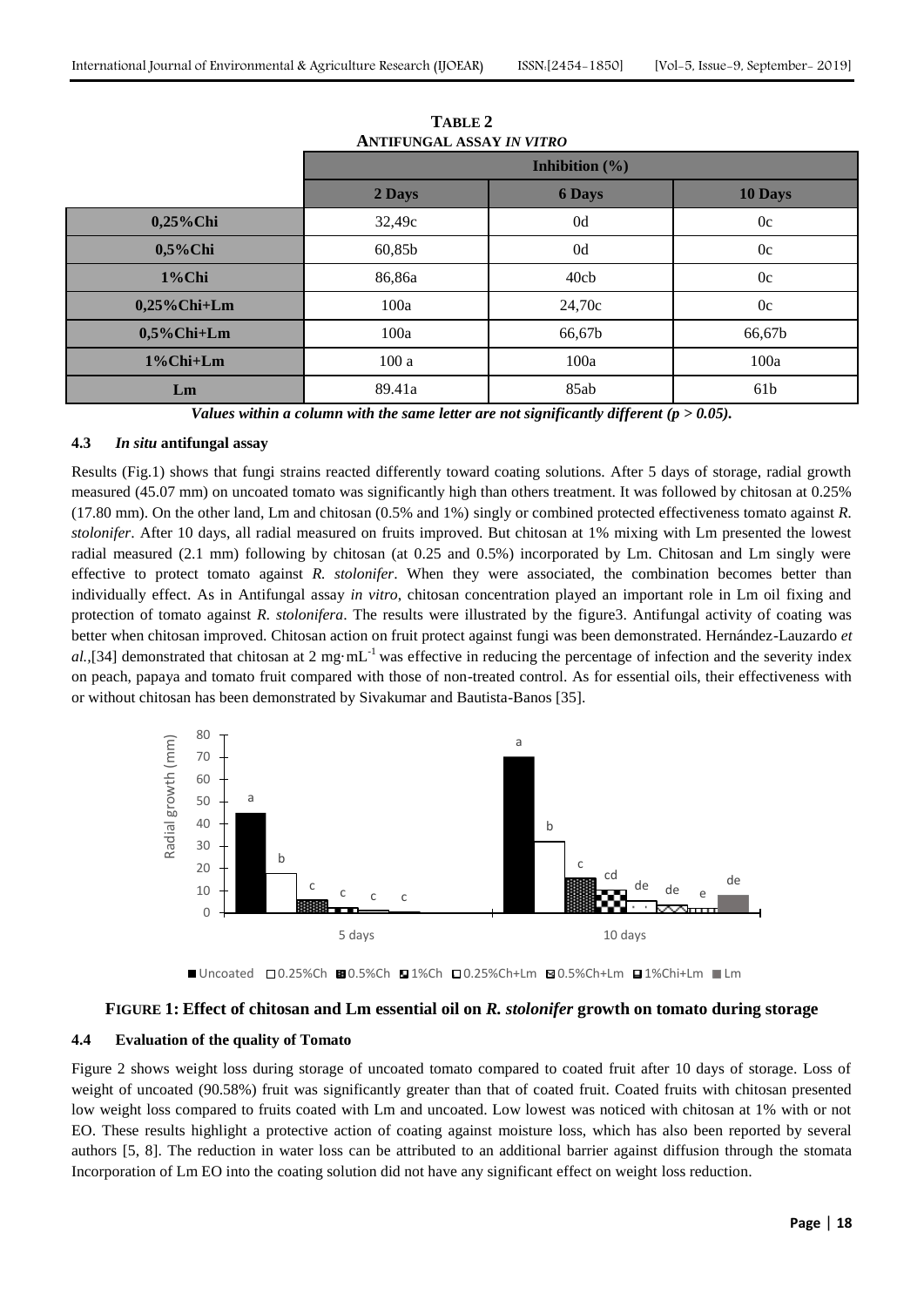|                 | <b>Inhibition</b> $(\%)$ |               |         |
|-----------------|--------------------------|---------------|---------|
|                 | 2 Days                   | <b>6 Days</b> | 10 Days |
| $0,25\%$ Chi    | 32,49c                   | 0d            | 0c      |
| $0,5\%$ Chi     | 60,85b                   | 0d            | 0c      |
| 1%Chi           | 86,86a                   | 40cb          | 0c      |
| $0,25\%$ Chi+Lm | 100a                     | 24,70c        | 0c      |
| $0,5\%$ Chi+Lm  | 100a                     | 66,67b        | 66,67b  |
| 1%Chi+Lm        | 100a                     | 100a          | 100a    |
| Lm              | 89.41a                   | 85ab          | 61b     |

**TABLE 2 ANTIFUNGAL ASSAY** *IN VITRO*

*Values within a column with the same letter are not significantly different (p > 0.05).*

#### **4.3** *In situ* **antifungal assay**

Results (Fig.1) shows that fungi strains reacted differently toward coating solutions. After 5 days of storage, radial growth measured (45.07 mm) on uncoated tomato was significantly high than others treatment. It was followed by chitosan at 0.25% (17.80 mm). On the other land, Lm and chitosan (0.5% and 1%) singly or combined protected effectiveness tomato against *R. stolonifer*. After 10 days, all radial measured on fruits improved. But chitosan at 1% mixing with Lm presented the lowest radial measured (2.1 mm) following by chitosan (at 0.25 and 0.5%) incorporated by Lm. Chitosan and Lm singly were effective to protect tomato against *R. stolonifer*. When they were associated, the combination becomes better than individually effect. As in Antifungal assay *in vitro*, chitosan concentration played an important role in Lm oil fixing and protection of tomato against *R. stolonifera*. The results were illustrated by the figure3. Antifungal activity of coating was better when chitosan improved. Chitosan action on fruit protect against fungi was been demonstrated. Hernández-Lauzardo *et*  al.,[34] demonstrated that chitosan at 2 mg·mL<sup>-1</sup> was effective in reducing the percentage of infection and the severity index on peach, papaya and tomato fruit compared with those of non-treated control. As for essential oils, their effectiveness with or without chitosan has been demonstrated by Sivakumar and Bautista-Banos [35].



 $\blacksquare$  Uncoated  $\square$ 0.25%Ch  $\square$ 1%Ch  $\square$ 1%Ch  $\square$ 0.25%Ch+Lm  $\square$ 1%Chi+Lm  $\square$ Lm

# **FIGURE 1: Effect of chitosan and Lm essential oil on** *R. stolonifer* **growth on tomato during storage**

#### **4.4 Evaluation of the quality of Tomato**

Figure 2 shows weight loss during storage of uncoated tomato compared to coated fruit after 10 days of storage. Loss of weight of uncoated (90.58%) fruit was significantly greater than that of coated fruit. Coated fruits with chitosan presented low weight loss compared to fruits coated with Lm and uncoated. Low lowest was noticed with chitosan at 1% with or not EO. These results highlight a protective action of coating against moisture loss, which has also been reported by several authors [5, 8]. The reduction in water loss can be attributed to an additional barrier against diffusion through the stomata Incorporation of Lm EO into the coating solution did not have any significant effect on weight loss reduction.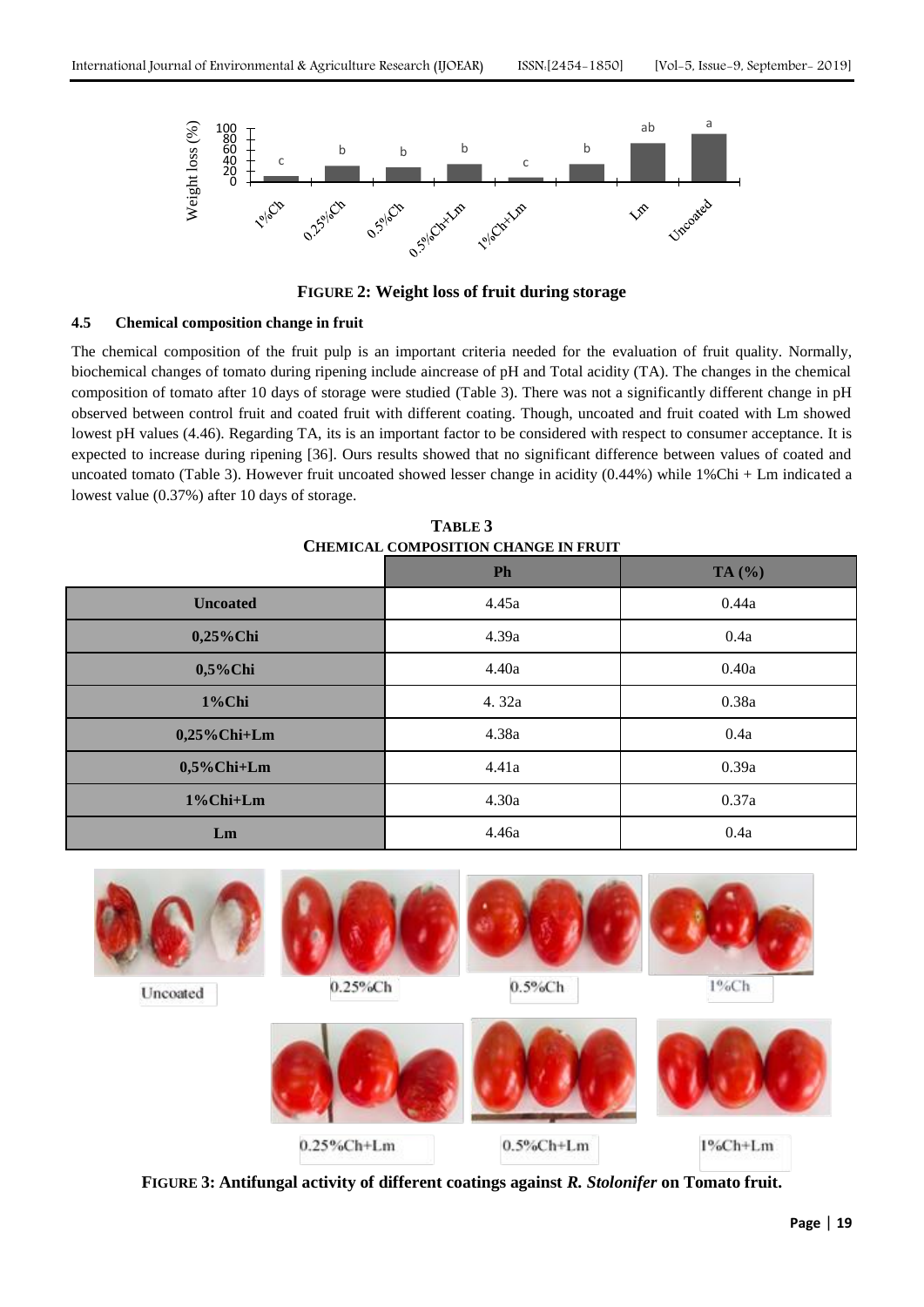

**FIGURE 2: Weight loss of fruit during storage**

#### **4.5 Chemical composition change in fruit**

The chemical composition of the fruit pulp is an important criteria needed for the evaluation of fruit quality. Normally, biochemical changes of tomato during ripening include aincrease of pH and Total acidity (TA). The changes in the chemical composition of tomato after 10 days of storage were studied (Table 3). There was not a significantly different change in pH observed between control fruit and coated fruit with different coating. Though, uncoated and fruit coated with Lm showed lowest pH values (4.46). Regarding TA, its is an important factor to be considered with respect to consumer acceptance. It is expected to increase during ripening [36]. Ours results showed that no significant difference between values of coated and uncoated tomato (Table 3). However fruit uncoated showed lesser change in acidity (0.44%) while 1%Chi + Lm indicated a lowest value (0.37%) after 10 days of storage.

| CHEMICAL COMPOSITION CHANGE IN FRUIT |       |          |  |  |
|--------------------------------------|-------|----------|--|--|
|                                      | Ph    | TA $(%)$ |  |  |
| <b>Uncoated</b>                      | 4.45a | 0.44a    |  |  |
| 0,25%Chi                             | 4.39a | 0.4a     |  |  |
| $0,5\%$ Chi                          | 4.40a | 0.40a    |  |  |
| 1%Chi                                | 4.32a | 0.38a    |  |  |
| $0,25\%$ Chi+Lm                      | 4.38a | 0.4a     |  |  |
| $0,5\%$ Chi+Lm                       | 4.41a | 0.39a    |  |  |
| 1%Chi+Lm                             | 4.30a | 0.37a    |  |  |
| Lm                                   | 4.46a | 0.4a     |  |  |

**TABLE 3 CHEMICAL COMPOSITION CHANGE IN FRUIT**



**FIGURE 3: Antifungal activity of different coatings against** *R. Stolonifer* **on Tomato fruit.**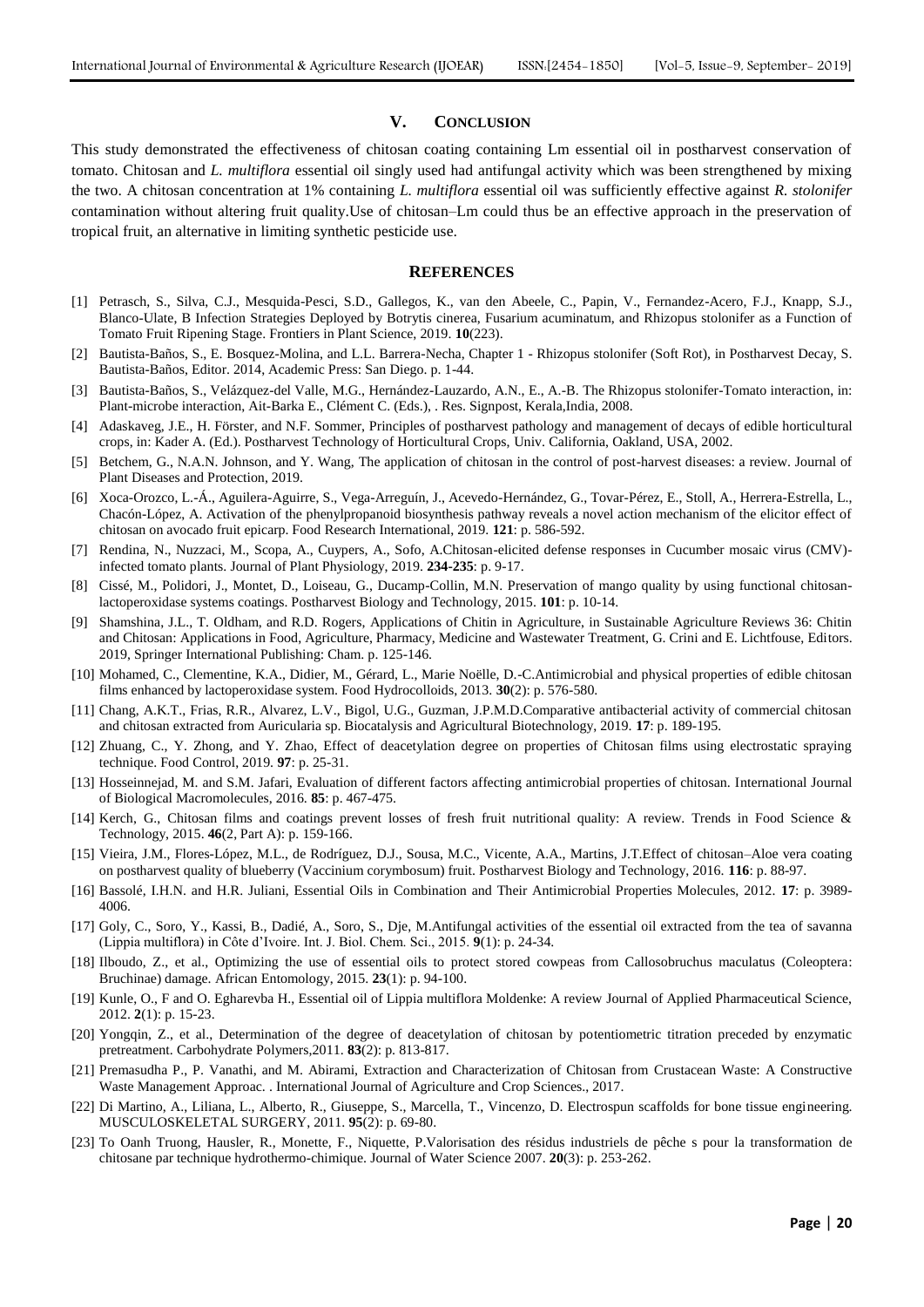#### **V. CONCLUSION**

This study demonstrated the effectiveness of chitosan coating containing Lm essential oil in postharvest conservation of tomato. Chitosan and *L. multiflora* essential oil singly used had antifungal activity which was been strengthened by mixing the two. A chitosan concentration at 1% containing *L. multiflora* essential oil was sufficiently effective against *R. stolonifer* contamination without altering fruit quality.Use of chitosan–Lm could thus be an effective approach in the preservation of tropical fruit, an alternative in limiting synthetic pesticide use.

#### **REFERENCES**

- [1] Petrasch, S., Silva, C.J., Mesquida-Pesci, S.D., Gallegos, K., van den Abeele, C., Papin, V., Fernandez-Acero, F.J., Knapp, S.J., Blanco-Ulate, B Infection Strategies Deployed by Botrytis cinerea, Fusarium acuminatum, and Rhizopus stolonifer as a Function of Tomato Fruit Ripening Stage. Frontiers in Plant Science, 2019. **10**(223).
- [2] Bautista-Baños, S., E. Bosquez-Molina, and L.L. Barrera-Necha, Chapter 1 Rhizopus stolonifer (Soft Rot), in Postharvest Decay, S. Bautista-Baños, Editor. 2014, Academic Press: San Diego. p. 1-44.
- [3] Bautista-Baños, S., Velázquez-del Valle, M.G., Hernández-Lauzardo, A.N., E., A.-B. The Rhizopus stolonifer-Tomato interaction, in: Plant-microbe interaction, Ait-Barka E., Clément C. (Eds.), . Res. Signpost, Kerala,India, 2008.
- [4] Adaskaveg, J.E., H. Förster, and N.F. Sommer, Principles of postharvest pathology and management of decays of edible horticultural crops, in: Kader A. (Ed.). Postharvest Technology of Horticultural Crops, Univ. California, Oakland, USA, 2002.
- [5] Betchem, G., N.A.N. Johnson, and Y. Wang, The application of chitosan in the control of post-harvest diseases: a review. Journal of Plant Diseases and Protection, 2019.
- [6] Xoca-Orozco, L.-Á., Aguilera-Aguirre, S., Vega-Arreguín, J., Acevedo-Hernández, G., Tovar-Pérez, E., Stoll, A., Herrera-Estrella, L., Chacón-López, A. Activation of the phenylpropanoid biosynthesis pathway reveals a novel action mechanism of the elicitor effect of chitosan on avocado fruit epicarp. Food Research International, 2019. **121**: p. 586-592.
- [7] Rendina, N., Nuzzaci, M., Scopa, A., Cuypers, A., Sofo, A.Chitosan-elicited defense responses in Cucumber mosaic virus (CMV) infected tomato plants. Journal of Plant Physiology, 2019. **234-235**: p. 9-17.
- [8] Cissé, M., Polidori, J., Montet, D., Loiseau, G., Ducamp-Collin, M.N. Preservation of mango quality by using functional chitosanlactoperoxidase systems coatings. Postharvest Biology and Technology, 2015. **101**: p. 10-14.
- [9] Shamshina, J.L., T. Oldham, and R.D. Rogers, Applications of Chitin in Agriculture, in Sustainable Agriculture Reviews 36: Chitin and Chitosan: Applications in Food, Agriculture, Pharmacy, Medicine and Wastewater Treatment, G. Crini and E. Lichtfouse, Editors. 2019, Springer International Publishing: Cham. p. 125-146.
- [10] Mohamed, C., Clementine, K.A., Didier, M., Gérard, L., Marie Noëlle, D.-C.Antimicrobial and physical properties of edible chitosan films enhanced by lactoperoxidase system. Food Hydrocolloids, 2013. **30**(2): p. 576-580.
- [11] Chang, A.K.T., Frias, R.R., Alvarez, L.V., Bigol, U.G., Guzman, J.P.M.D.Comparative antibacterial activity of commercial chitosan and chitosan extracted from Auricularia sp. Biocatalysis and Agricultural Biotechnology, 2019. **17**: p. 189-195.
- [12] Zhuang, C., Y. Zhong, and Y. Zhao, Effect of deacetylation degree on properties of Chitosan films using electrostatic spraying technique. Food Control, 2019. **97**: p. 25-31.
- [13] Hosseinnejad, M. and S.M. Jafari, Evaluation of different factors affecting antimicrobial properties of chitosan. International Journal of Biological Macromolecules, 2016. **85**: p. 467-475.
- [14] Kerch, G., Chitosan films and coatings prevent losses of fresh fruit nutritional quality: A review. Trends in Food Science & Technology, 2015. **46**(2, Part A): p. 159-166.
- [15] Vieira, J.M., Flores-López, M.L., de Rodríguez, D.J., Sousa, M.C., Vicente, A.A., Martins, J.T.Effect of chitosan–Aloe vera coating on postharvest quality of blueberry (Vaccinium corymbosum) fruit. Postharvest Biology and Technology, 2016. **116**: p. 88-97.
- [16] Bassolé, I.H.N. and H.R. Juliani, Essential Oils in Combination and Their Antimicrobial Properties Molecules, 2012. **17**: p. 3989- 4006.
- [17] Goly, C., Soro, Y., Kassi, B., Dadié, A., Soro, S., Dje, M.Antifungal activities of the essential oil extracted from the tea of savanna (Lippia multiflora) in Côte d'Ivoire. Int. J. Biol. Chem. Sci., 2015. **9**(1): p. 24-34.
- [18] Ilboudo, Z., et al., Optimizing the use of essential oils to protect stored cowpeas from Callosobruchus maculatus (Coleoptera: Bruchinae) damage. African Entomology, 2015. **23**(1): p. 94-100.
- [19] Kunle, O., F and O. Egharevba H., Essential oil of Lippia multiflora Moldenke: A review Journal of Applied Pharmaceutical Science, 2012. **2**(1): p. 15-23.
- [20] Yongqin, Z., et al., Determination of the degree of deacetylation of chitosan by potentiometric titration preceded by enzymatic pretreatment. Carbohydrate Polymers,2011. **83**(2): p. 813-817.
- [21] Premasudha P., P. Vanathi, and M. Abirami, Extraction and Characterization of Chitosan from Crustacean Waste: A Constructive Waste Management Approac. . International Journal of Agriculture and Crop Sciences., 2017.
- [22] Di Martino, A., Liliana, L., Alberto, R., Giuseppe, S., Marcella, T., Vincenzo, D. Electrospun scaffolds for bone tissue engineering. MUSCULOSKELETAL SURGERY, 2011. **95**(2): p. 69-80.
- [23] To Oanh Truong, Hausler, R., Monette, F., Niquette, P.Valorisation des résidus industriels de pêche s pour la transformation de chitosane par technique hydrothermo-chimique. Journal of Water Science 2007. **20**(3): p. 253-262.